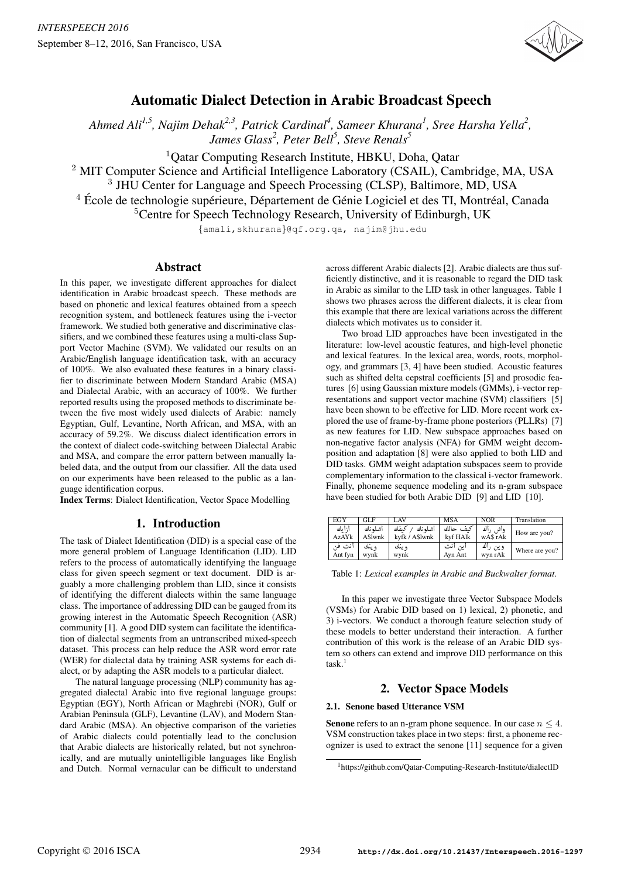

# Automatic Dialect Detection in Arabic Broadcast Speech

Ahmed Ali<sup>1,5</sup>, Najim Dehak<sup>2,3</sup>, Patrick Cardinal<sup>4</sup>, Sameer Khurana<sup>1</sup>, Sree Harsha Yella<sup>2</sup>, James Glass<sup>2</sup>, Peter Bell<sup>5</sup>, Steve Renals<sup>5</sup>

<sup>1</sup>Oatar Computing Research Institute, HBKU, Doha, Oatar

<sup>2</sup> MIT Computer Science and Artificial Intelligence Laboratory (CSAIL), Cambridge, MA, USA

<sup>3</sup> JHU Center for Language and Speech Processing (CLSP), Baltimore, MD, USA

 $4 \text{ École}$  de technologie supérieure, Département de Génie Logiciel et des TI, Montréal, Canada

<sup>5</sup>Centre for Speech Technology Research, University of Edinburgh, UK

{amali,skhurana}@qf.org.qa, najim@jhu.edu

# Abstract

In this paper, we investigate different approaches for dialect identification in Arabic broadcast speech. These methods are based on phonetic and lexical features obtained from a speech recognition system, and bottleneck features using the i-vector framework. We studied both generative and discriminative classifiers, and we combined these features using a multi-class Support Vector Machine (SVM). We validated our results on an Arabic/English language identification task, with an accuracy of 100%. We also evaluated these features in a binary classifier to discriminate between Modern Standard Arabic (MSA) and Dialectal Arabic, with an accuracy of 100%. We further reported results using the proposed methods to discriminate between the five most widely used dialects of Arabic: namely Egyptian, Gulf, Levantine, North African, and MSA, with an accuracy of 59.2%. We discuss dialect identification errors in the context of dialect code-switching between Dialectal Arabic and MSA, and compare the error pattern between manually labeled data, and the output from our classifier. All the data used on our experiments have been released to the public as a language identification corpus.

Index Terms: Dialect Identification, Vector Space Modelling

# 1. Introduction

The task of Dialect Identification (DID) is a special case of the more general problem of Language Identification (LID). LID refers to the process of automatically identifying the language class for given speech segment or text document. DID is arguably a more challenging problem than LID, since it consists of identifying the different dialects within the same language class. The importance of addressing DID can be gauged from its growing interest in the Automatic Speech Recognition (ASR) community [1]. A good DID system can facilitate the identification of dialectal segments from an untranscribed mixed-speech dataset. This process can help reduce the ASR word error rate (WER) for dialectal data by training ASR systems for each dialect, or by adapting the ASR models to a particular dialect.

The natural language processing (NLP) community has aggregated dialectal Arabic into five regional language groups: Egyptian (EGY), North African or Maghrebi (NOR), Gulf or Arabian Peninsula (GLF), Levantine (LAV), and Modern Standard Arabic (MSA). An objective comparison of the varieties of Arabic dialects could potentially lead to the conclusion that Arabic dialects are historically related, but not synchronically, and are mutually unintelligible languages like English and Dutch. Normal vernacular can be difficult to understand

across different Arabic dialects [2]. Arabic dialects are thus sufficiently distinctive, and it is reasonable to regard the DID task in Arabic as similar to the LID task in other languages. Table 1 shows two phrases across the different dialects, it is clear from this example that there are lexical variations across the different dialects which motivates us to consider it.

Two broad LID approaches have been investigated in the literature: low-level acoustic features, and high-level phonetic and lexical features. In the lexical area, words, roots, morphology, and grammars [3, 4] have been studied. Acoustic features such as shifted delta cepstral coefficients [5] and prosodic features [6] using Gaussian mixture models (GMMs), i-vector representations and support vector machine (SVM) classifiers [5] have been shown to be effective for LID. More recent work explored the use of frame-by-frame phone posteriors (PLLRs) [7] as new features for LID. New subspace approaches based on non-negative factor analysis (NFA) for GMM weight decomposition and adaptation [8] were also applied to both LID and DID tasks. GMM weight adaptation subspaces seem to provide complementary information to the classical i-vector framework. Finally, phoneme sequence modeling and its n-gram subspace have been studied for both Arabic DID [9] and LID [10].

| EGY               | <b>GLF</b>        | LAV                               | <b>MSA</b>           | <b>NOR</b>            | Translation    |
|-------------------|-------------------|-----------------------------------|----------------------|-----------------------|----------------|
| أزأيك<br>AzAYk    | أشلمنك<br>A\$lwnk | كىفك<br>اشلم نك<br>kyfk / A\$lwnk | كىف حالك<br>kvf HAlk | أك<br>واش<br>wA\$ rAk | How are you?   |
| انت في<br>Ant fyn | و ينك<br>wynk     | و ينك<br>wynk                     | این انت<br>Ayn Ant   | وين راك<br>wyn rAk    | Where are you? |

Table 1: *Lexical examples in Arabic and Buckwalter format.*

In this paper we investigate three Vector Subspace Models (VSMs) for Arabic DID based on 1) lexical, 2) phonetic, and 3) i-vectors. We conduct a thorough feature selection study of these models to better understand their interaction. A further contribution of this work is the release of an Arabic DID system so others can extend and improve DID performance on this  $task.<sup>1</sup>$ 

# 2. Vector Space Models

### 2.1. Senone based Utterance VSM

**Senone** refers to an n-gram phone sequence. In our case  $n \leq 4$ . VSM construction takes place in two steps: first, a phoneme recognizer is used to extract the senone [11] sequence for a given

<sup>1</sup>https://github.com/Qatar-Computing-Research-Institute/dialectID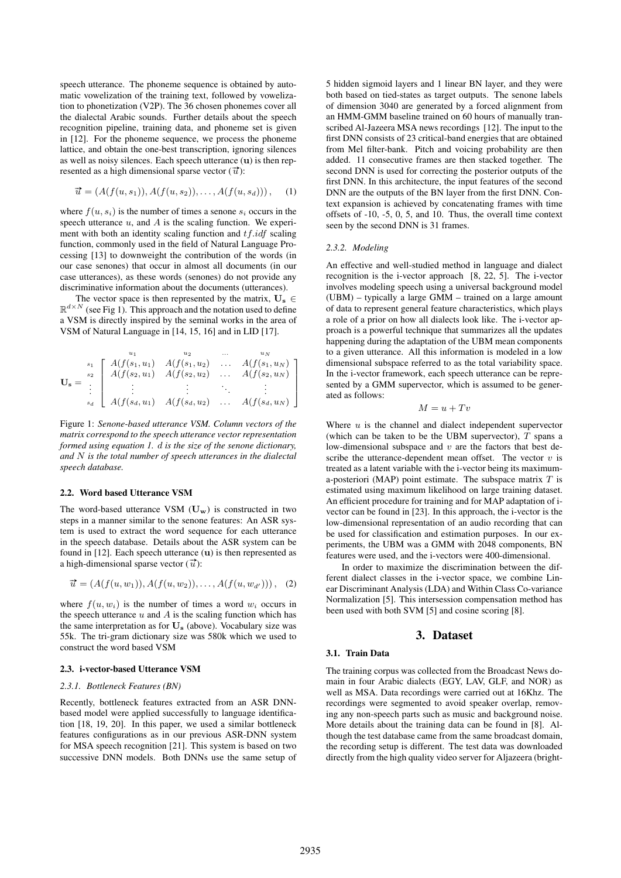speech utterance. The phoneme sequence is obtained by automatic vowelization of the training text, followed by vowelization to phonetization (V2P). The 36 chosen phonemes cover all the dialectal Arabic sounds. Further details about the speech recognition pipeline, training data, and phoneme set is given in [12]. For the phoneme sequence, we process the phoneme lattice, and obtain the one-best transcription, ignoring silences as well as noisy silences. Each speech utterance  $(u)$  is then represented as a high dimensional sparse vector  $(\vec{u})$ :

$$
\vec{u} = (A(f(u, s_1)), A(f(u, s_2)), \dots, A(f(u, s_d))), \quad (1)
$$

where  $f(u, s_i)$  is the number of times a senone  $s_i$  occurs in the speech utterance  $u$ , and  $A$  is the scaling function. We experiment with both an identity scaling function and  $tf.idf$  scaling function, commonly used in the field of Natural Language Processing [13] to downweight the contribution of the words (in our case senones) that occur in almost all documents (in our case utterances), as these words (senones) do not provide any discriminative information about the documents (utterances).

The vector space is then represented by the matrix,  $U_s \in$  $\mathbb{R}^{d \times N}$  (see Fig 1). This approach and the notation used to define a VSM is directly inspired by the seminal works in the area of VSM of Natural Language in [14, 15, 16] and in LID [17].

$$
\mathbf{U}_{\mathbf{s}} = \begin{bmatrix} \begin{array}{cccc} u_1 & u_2 & \dots & u_N \\ s_1 & A(f(s_1, u_1) & A(f(s_1, u_2) & \dots & A(f(s_1, u_N)) \\ A(f(s_2, u_1) & A(f(s_2, u_2) & \dots & A(f(s_2, u_N)) \\ \vdots & \vdots & \ddots & \vdots \\ A(f(s_d, u_1) & A(f(s_d, u_2) & \dots & A(f(s_d, u_N)) \end{array} \end{bmatrix}
$$

Figure 1: *Senone-based utterance VSM. Column vectors of the matrix correspond to the speech utterance vector representation formed using equation 1.* d *is the size of the senone dictionary, and* N *is the total number of speech utterances in the dialectal speech database.*

#### 2.2. Word based Utterance VSM

The word-based utterance VSM  $(\mathbf{U}_{\mathbf{w}})$  is constructed in two steps in a manner similar to the senone features: An ASR system is used to extract the word sequence for each utterance in the speech database. Details about the ASR system can be found in  $[12]$ . Each speech utterance  $(u)$  is then represented as a high-dimensional sparse vector  $(\vec{u})$ :

$$
\vec{u} = (A(f(u, w_1)), A(f(u, w_2)), \dots, A(f(u, w_{d'}))), \quad (2)
$$

where  $f(u, w_i)$  is the number of times a word  $w_i$  occurs in the speech utterance  $u$  and  $A$  is the scaling function which has the same interpretation as for  $U_s$  (above). Vocabulary size was 55k. The tri-gram dictionary size was 580k which we used to construct the word based VSM

#### 2.3. i-vector-based Utterance VSM

#### *2.3.1. Bottleneck Features (BN)*

Recently, bottleneck features extracted from an ASR DNNbased model were applied successfully to language identification [18, 19, 20]. In this paper, we used a similar bottleneck features configurations as in our previous ASR-DNN system for MSA speech recognition [21]. This system is based on two successive DNN models. Both DNNs use the same setup of 5 hidden sigmoid layers and 1 linear BN layer, and they were both based on tied-states as target outputs. The senone labels of dimension 3040 are generated by a forced alignment from an HMM-GMM baseline trained on 60 hours of manually transcribed Al-Jazeera MSA news recordings [12]. The input to the first DNN consists of 23 critical-band energies that are obtained from Mel filter-bank. Pitch and voicing probability are then added. 11 consecutive frames are then stacked together. The second DNN is used for correcting the posterior outputs of the first DNN. In this architecture, the input features of the second DNN are the outputs of the BN layer from the first DNN. Context expansion is achieved by concatenating frames with time offsets of -10, -5, 0, 5, and 10. Thus, the overall time context seen by the second DNN is 31 frames.

#### *2.3.2. Modeling*

An effective and well-studied method in language and dialect recognition is the i-vector approach [8, 22, 5]. The i-vector involves modeling speech using a universal background model (UBM) – typically a large GMM – trained on a large amount of data to represent general feature characteristics, which plays a role of a prior on how all dialects look like. The i-vector approach is a powerful technique that summarizes all the updates happening during the adaptation of the UBM mean components to a given utterance. All this information is modeled in a low dimensional subspace referred to as the total variability space. In the i-vector framework, each speech utterance can be represented by a GMM supervector, which is assumed to be generated as follows:

$$
M = u + Tv
$$

Where  $u$  is the channel and dialect independent supervector (which can be taken to be the UBM supervector),  $T$  spans a low-dimensional subspace and  $v$  are the factors that best describe the utterance-dependent mean offset. The vector  $v$  is treated as a latent variable with the i-vector being its maximuma-posteriori (MAP) point estimate. The subspace matrix  $T$  is estimated using maximum likelihood on large training dataset. An efficient procedure for training and for MAP adaptation of ivector can be found in [23]. In this approach, the i-vector is the low-dimensional representation of an audio recording that can be used for classification and estimation purposes. In our experiments, the UBM was a GMM with 2048 components, BN features were used, and the i-vectors were 400-dimensional.

In order to maximize the discrimination between the different dialect classes in the i-vector space, we combine Linear Discriminant Analysis (LDA) and Within Class Co-variance Normalization [5]. This intersession compensation method has been used with both SVM [5] and cosine scoring [8].

### 3. Dataset

#### 3.1. Train Data

The training corpus was collected from the Broadcast News domain in four Arabic dialects (EGY, LAV, GLF, and NOR) as well as MSA. Data recordings were carried out at 16Khz. The recordings were segmented to avoid speaker overlap, removing any non-speech parts such as music and background noise. More details about the training data can be found in [8]. Although the test database came from the same broadcast domain, the recording setup is different. The test data was downloaded directly from the high quality video server for Aljazeera (bright-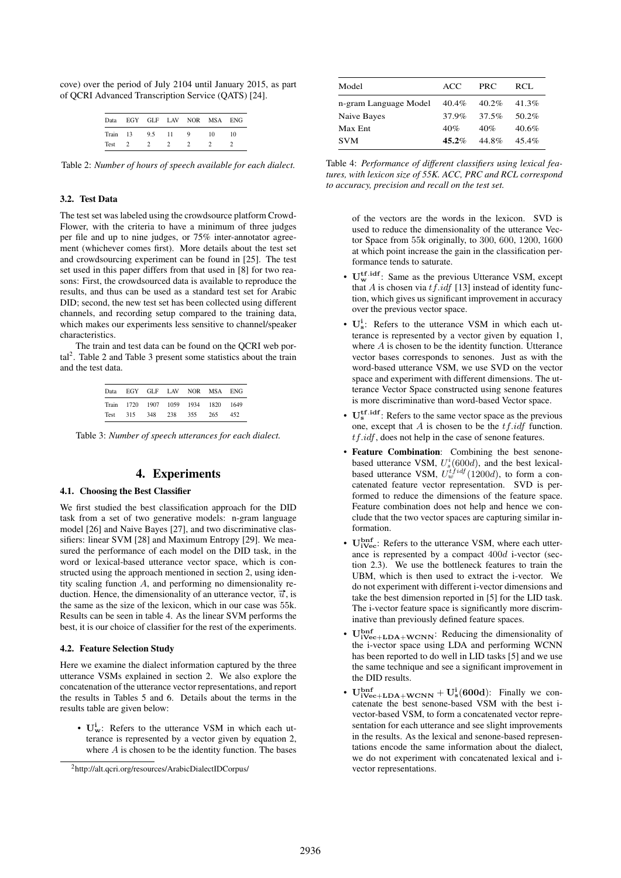cove) over the period of July 2104 until January 2015, as part of QCRI Advanced Transcription Service (QATS) [24].

| Data  |    |     |    |   | EGY GLF LAV NOR MSA ENG |    |
|-------|----|-----|----|---|-------------------------|----|
| Train | 13 | 9.5 | 11 | 9 | 10                      | 10 |
| Test  |    |     |    |   |                         |    |

Table 2: *Number of hours of speech available for each dialect.*

### 3.2. Test Data

The test set was labeled using the crowdsource platform Crowd-Flower, with the criteria to have a minimum of three judges per file and up to nine judges, or 75% inter-annotator agreement (whichever comes first). More details about the test set and crowdsourcing experiment can be found in [25]. The test set used in this paper differs from that used in [8] for two reasons: First, the crowdsourced data is available to reproduce the results, and thus can be used as a standard test set for Arabic DID; second, the new test set has been collected using different channels, and recording setup compared to the training data, which makes our experiments less sensitive to channel/speaker characteristics.

The train and test data can be found on the QCRI web por- $\text{tal}^2$ . Table 2 and Table 3 present some statistics about the train and the test data.

| Data |  |                 |                                | EGY GLF LAV NOR MSA ENG |        |
|------|--|-----------------|--------------------------------|-------------------------|--------|
|      |  |                 | Train 1720 1907 1059 1934 1820 |                         | - 1649 |
| Test |  | 315 348 238 355 |                                | 265                     | 452    |

Table 3: *Number of speech utterances for each dialect.*

## 4. Experiments

### 4.1. Choosing the Best Classifier

We first studied the best classification approach for the DID task from a set of two generative models: n-gram language model [26] and Naive Bayes [27], and two discriminative classifiers: linear SVM [28] and Maximum Entropy [29]. We measured the performance of each model on the DID task, in the word or lexical-based utterance vector space, which is constructed using the approach mentioned in section 2, using identity scaling function A, and performing no dimensionality reduction. Hence, the dimensionality of an utterance vector,  $\vec{u}$ , is the same as the size of the lexicon, which in our case was 55k. Results can be seen in table 4. As the linear SVM performs the best, it is our choice of classifier for the rest of the experiments.

#### 4.2. Feature Selection Study

Here we examine the dialect information captured by the three utterance VSMs explained in section 2. We also explore the concatenation of the utterance vector representations, and report the results in Tables 5 and 6. Details about the terms in the results table are given below:

•  $U_w^i$ : Refers to the utterance VSM in which each utterance is represented by a vector given by equation 2, where  $A$  is chosen to be the identity function. The bases

| Model                 | ACC      | PRC.     | RCL.     |
|-----------------------|----------|----------|----------|
| n-gram Language Model | 40.4%    | $40.2\%$ | 41.3%    |
| Naive Bayes           | 37.9%    | 37.5%    | 50.2%    |
| Max Ent               | 40%      | 40%      | $40.6\%$ |
| <b>SVM</b>            | $45.2\%$ | 44.8%    | $45.4\%$ |

Table 4: *Performance of different classifiers using lexical features, with lexicon size of 55K. ACC, PRC and RCL correspond to accuracy, precision and recall on the test set.*

of the vectors are the words in the lexicon. SVD is used to reduce the dimensionality of the utterance Vector Space from 55k originally, to 300, 600, 1200, 1600 at which point increase the gain in the classification performance tends to saturate.

- $\mathbf{U}_{\mathbf{w}}^{\mathbf{tf.}\mathbf{idf}}$ : Same as the previous Utterance VSM, except that  $A$  is chosen via  $tf.idf$  [13] instead of identity function, which gives us significant improvement in accuracy over the previous vector space.
- $U_s^i$ : Refers to the utterance VSM in which each utterance is represented by a vector given by equation 1, where A is chosen to be the identity function. Utterance vector bases corresponds to senones. Just as with the word-based utterance VSM, we use SVD on the vector space and experiment with different dimensions. The utterance Vector Space constructed using senone features is more discriminative than word-based Vector space.
- $\mathbf{U}_s^{\text{tf.idf}}$ : Refers to the same vector space as the previous one, except that  $A$  is chosen to be the  $tf.idf$  function. tf.idf, does not help in the case of senone features.
- Feature Combination: Combining the best senonebased utterance VSM,  $U_s^i(600d)$ , and the best lexicalbased utterance VSM,  $U_w^{t\bar{f}idf}(1200d)$ , to form a concatenated feature vector representation. SVD is performed to reduce the dimensions of the feature space. Feature combination does not help and hence we conclude that the two vector spaces are capturing similar information.
- $\mathbf{U}_{i\text{Vec}}^{\text{bnf}}$ : Refers to the utterance VSM, where each utterance is represented by a compact 400d i-vector (section 2.3). We use the bottleneck features to train the UBM, which is then used to extract the i-vector. We do not experiment with different i-vector dimensions and take the best dimension reported in [5] for the LID task. The i-vector feature space is significantly more discriminative than previously defined feature spaces.
- $\mathbf{U}_{i\text{Vec}+\text{LDA}+\text{WCNN}}^{bnf}$ : Reducing the dimensionality of the i-vector space using LDA and performing WCNN has been reported to do well in LID tasks [5] and we use the same technique and see a significant improvement in the DID results.
- $U_{iVec+LDA+WCNN}^{bnf} + U_s^i(600d)$ : Finally we concatenate the best senone-based VSM with the best ivector-based VSM, to form a concatenated vector representation for each utterance and see slight improvements in the results. As the lexical and senone-based representations encode the same information about the dialect, we do not experiment with concatenated lexical and ivector representations.

<sup>2</sup>http://alt.qcri.org/resources/ArabicDialectIDCorpus/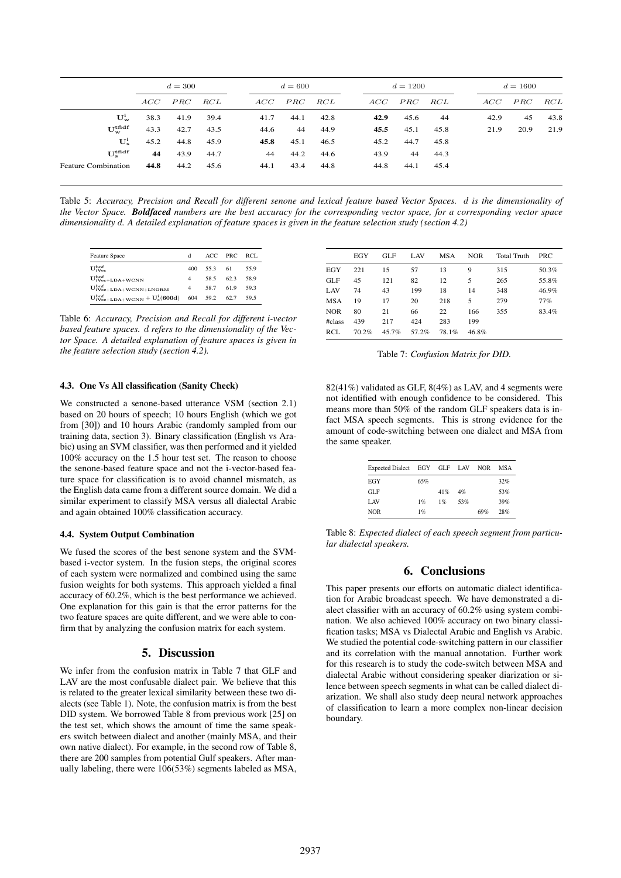|                                          | $d = 300$ |      |      | $d = 600$ |      | $d = 1200$ |      |      | $d = 1600$ |      |      |      |
|------------------------------------------|-----------|------|------|-----------|------|------------|------|------|------------|------|------|------|
|                                          | ACC       | PRC  | RCL  | ACC       | PRC  | RCL        | ACC  | PRC  | RCL        | ACC  | PRC  | RCL  |
| $U_w^i$                                  | 38.3      | 41.9 | 39.4 | 41.7      | 44.1 | 42.8       | 42.9 | 45.6 | -44        | 42.9 | 45   | 43.8 |
| $\mathbf{U}^{\text{tfidf}}_{\mathbf{w}}$ | 43.3      | 42.7 | 43.5 | 44.6      | 44   | 44.9       | 45.5 | 45.1 | 45.8       | 21.9 | 20.9 | 21.9 |
| $\mathbf{U}_{\mathbf{e}}^{\mathbf{i}}$   | 45.2      | 44.8 | 45.9 | 45.8      | 45.1 | 46.5       | 45.2 | 44.7 | 45.8       |      |      |      |
| $U_{\rm e}^{\rm tfdf}$                   | 44        | 43.9 | 44.7 | 44        | 44.2 | 44.6       | 43.9 | 44   | 44.3       |      |      |      |
| <b>Feature Combination</b>               | 44.8      | 44.2 | 45.6 | 44.1      | 43.4 | 44.8       | 44.8 | 44.1 | 45.4       |      |      |      |

Table 5: *Accuracy, Precision and Recall for different senone and lexical feature based Vector Spaces.* d *is the dimensionality of the Vector Space. Boldfaced numbers are the best accuracy for the corresponding vector space, for a corresponding vector space dimensionality* d*. A detailed explanation of feature spaces is given in the feature selection study (section 4.2)*

| <b>Feature Space</b>                        | $\mathbf d$ | ACC PRC  |      | RCL. |
|---------------------------------------------|-------------|----------|------|------|
| $U_{iVec}^{bnf}$                            | 400         | 55.3 61  |      | 55.9 |
| $\mathbf{U}^{\rm bnf}_{i\rm{Vec}+LDA+WCNN}$ | 4           | 58.5     | 623  | 58.9 |
| $\mathbf{U^{bnf}_{iVec+LDA+WCNN+LNORM}}$    | 4           | 58.7     | 61.9 | 59.3 |
| $\rm U^{bnf}_{iVec+LDA+WCNN} + U_s^i(600d)$ |             | 604 59.2 | 62.7 | 59.5 |

Table 6: *Accuracy, Precision and Recall for different i-vector based feature spaces.* d *refers to the dimensionality of the Vector Space. A detailed explanation of feature spaces is given in the feature selection study (section 4.2).*

|  | Table 7: Confusion Matrix for DID. |  |
|--|------------------------------------|--|
|  |                                    |  |

#class 439 217 424 283 199 RCL 70.2% 45.7% 57.2% 78.1% 46.8%

### 4.3. One Vs All classification (Sanity Check)

We constructed a senone-based utterance VSM (section 2.1) based on 20 hours of speech; 10 hours English (which we got from [30]) and 10 hours Arabic (randomly sampled from our training data, section 3). Binary classification (English vs Arabic) using an SVM classifier, was then performed and it yielded 100% accuracy on the 1.5 hour test set. The reason to choose the senone-based feature space and not the i-vector-based feature space for classification is to avoid channel mismatch, as the English data came from a different source domain. We did a similar experiment to classify MSA versus all dialectal Arabic and again obtained 100% classification accuracy.

#### 4.4. System Output Combination

We fused the scores of the best senone system and the SVMbased i-vector system. In the fusion steps, the original scores of each system were normalized and combined using the same fusion weights for both systems. This approach yielded a final accuracy of 60.2%, which is the best performance we achieved. One explanation for this gain is that the error patterns for the two feature spaces are quite different, and we were able to confirm that by analyzing the confusion matrix for each system.

### 5. Discussion

We infer from the confusion matrix in Table 7 that GLF and LAV are the most confusable dialect pair. We believe that this is related to the greater lexical similarity between these two dialects (see Table 1). Note, the confusion matrix is from the best DID system. We borrowed Table 8 from previous work [25] on the test set, which shows the amount of time the same speakers switch between dialect and another (mainly MSA, and their own native dialect). For example, in the second row of Table 8, there are 200 samples from potential Gulf speakers. After manually labeling, there were 106(53%) segments labeled as MSA,

 $82(41\%)$  validated as GLF,  $8(4\%)$  as LAV, and 4 segments were not identified with enough confidence to be considered. This means more than 50% of the random GLF speakers data is infact MSA speech segments. This is strong evidence for the amount of code-switching between one dialect and MSA from the same speaker.

EGY GLF LAV MSA NOR Total Truth PRC EGY 221 15 57 13 9 315 50.3% GLF 45 121 82 12 5 265 55.8% LAV 74 43 199 18 14 348 46.9% MSA 19 17 20 218 5 279 77% NOR 80 21 66 22 166 355 83.4%

| Expected Dialect EGY GLF LAV |     |     |     | <b>NOR</b> | MSA |
|------------------------------|-----|-----|-----|------------|-----|
| EGY                          | 65% |     |     |            | 32% |
| GLF                          |     | 41% | 4%  |            | 53% |
| LAV                          | 1%  | 1%  | 53% |            | 39% |
| <b>NOR</b>                   | 1%  |     |     | 69%        | 28% |

Table 8: *Expected dialect of each speech segment from particular dialectal speakers.*

# 6. Conclusions

This paper presents our efforts on automatic dialect identification for Arabic broadcast speech. We have demonstrated a dialect classifier with an accuracy of 60.2% using system combination. We also achieved 100% accuracy on two binary classification tasks; MSA vs Dialectal Arabic and English vs Arabic. We studied the potential code-switching pattern in our classifier and its correlation with the manual annotation. Further work for this research is to study the code-switch between MSA and dialectal Arabic without considering speaker diarization or silence between speech segments in what can be called dialect diarization. We shall also study deep neural network approaches of classification to learn a more complex non-linear decision boundary.